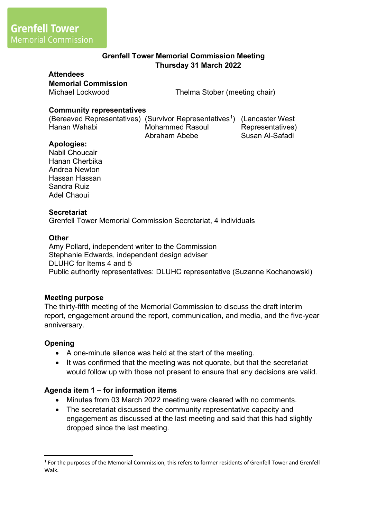# **Grenfell Tower Memorial Commission Meeting Thursday 31 March 2022**

#### **Attendees**

**Memorial Commission**

Michael Lockwood Thelma Stober (meeting chair)

## **Community representatives**

(Bereaved Representatives) (Survivor Representatives<sup>1</sup>) (Lancaster West Hanan Wahabi Mohammed Rasoul Abraham Abebe Representatives) Susan Al-Safadi

### **Apologies:**

Nabil Choucair Hanan Cherbika Andrea Newton Hassan Hassan Sandra Ruiz Adel Chaoui

### **Secretariat**

Grenfell Tower Memorial Commission Secretariat, 4 individuals

### **Other**

Amy Pollard, independent writer to the Commission Stephanie Edwards, independent design adviser DLUHC for Items 4 and 5 Public authority representatives: DLUHC representative (Suzanne Kochanowski)

### **Meeting purpose**

The thirty-fifth meeting of the Memorial Commission to discuss the draft interim report, engagement around the report, communication, and media, and the five-year anniversary.

### **Opening**

- A one-minute silence was held at the start of the meeting.
- It was confirmed that the meeting was not quorate, but that the secretariat would follow up with those not present to ensure that any decisions are valid.

### **Agenda item 1 – for information items**

- Minutes from 03 March 2022 meeting were cleared with no comments.
- The secretariat discussed the community representative capacity and engagement as discussed at the last meeting and said that this had slightly dropped since the last meeting.

<sup>&</sup>lt;sup>1</sup> For the purposes of the Memorial Commission, this refers to former residents of Grenfell Tower and Grenfell Walk.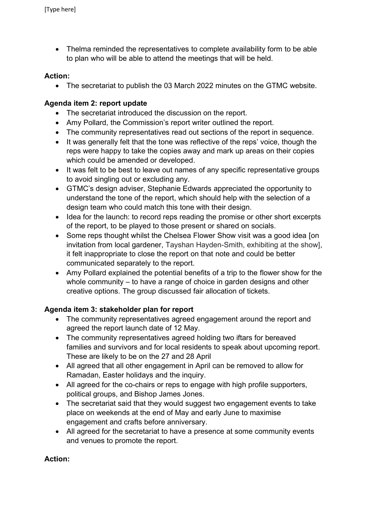• Thelma reminded the representatives to complete availability form to be able to plan who will be able to attend the meetings that will be held.

# **Action:**

• The secretariat to publish the 03 March 2022 minutes on the GTMC website.

# **Agenda item 2: report update**

- The secretariat introduced the discussion on the report.
- Amy Pollard, the Commission's report writer outlined the report.
- The community representatives read out sections of the report in sequence.
- It was generally felt that the tone was reflective of the reps' voice, though the reps were happy to take the copies away and mark up areas on their copies which could be amended or developed.
- It was felt to be best to leave out names of any specific representative groups to avoid singling out or excluding any.
- GTMC's design adviser, Stephanie Edwards appreciated the opportunity to understand the tone of the report, which should help with the selection of a design team who could match this tone with their design.
- Idea for the launch: to record reps reading the promise or other short excerpts of the report, to be played to those present or shared on socials.
- Some reps thought whilst the Chelsea Flower Show visit was a good idea [on] invitation from local gardener, Tayshan Hayden-Smith, exhibiting at the show], it felt inappropriate to close the report on that note and could be better communicated separately to the report.
- Amy Pollard explained the potential benefits of a trip to the flower show for the whole community – to have a range of choice in garden designs and other creative options. The group discussed fair allocation of tickets.

# **Agenda item 3: stakeholder plan for report**

- The community representatives agreed engagement around the report and agreed the report launch date of 12 May.
- The community representatives agreed holding two iftars for bereaved families and survivors and for local residents to speak about upcoming report. These are likely to be on the 27 and 28 April
- All agreed that all other engagement in April can be removed to allow for Ramadan, Easter holidays and the inquiry.
- All agreed for the co-chairs or reps to engage with high profile supporters, political groups, and Bishop James Jones.
- The secretariat said that they would suggest two engagement events to take place on weekends at the end of May and early June to maximise engagement and crafts before anniversary.
- All agreed for the secretariat to have a presence at some community events and venues to promote the report.

# **Action:**